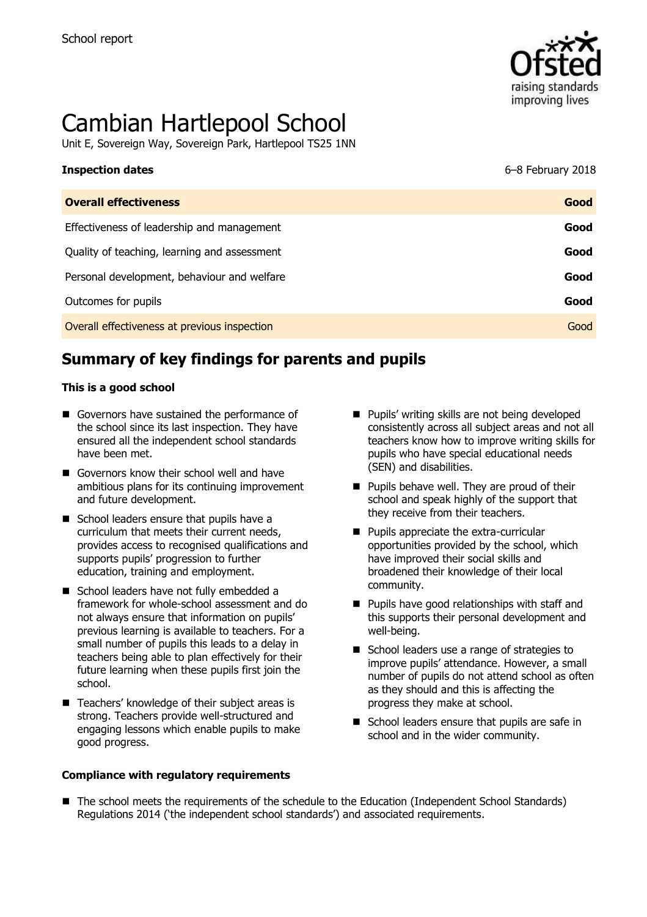

# Cambian Hartlepool School

Unit E, Sovereign Way, Sovereign Park, Hartlepool TS25 1NN

| <b>Inspection dates</b>                      | 6-8 February 2018 |
|----------------------------------------------|-------------------|
| <b>Overall effectiveness</b>                 | Good              |
| Effectiveness of leadership and management   | Good              |
| Quality of teaching, learning and assessment | Good              |
| Personal development, behaviour and welfare  | Good              |
| Outcomes for pupils                          | Good              |
| Overall effectiveness at previous inspection | Good              |

# **Summary of key findings for parents and pupils**

#### **This is a good school**

- Governors have sustained the performance of the school since its last inspection. They have ensured all the independent school standards have been met.
- Governors know their school well and have ambitious plans for its continuing improvement and future development.
- School leaders ensure that pupils have a curriculum that meets their current needs, provides access to recognised qualifications and supports pupils' progression to further education, training and employment.
- School leaders have not fully embedded a framework for whole-school assessment and do not always ensure that information on pupils' previous learning is available to teachers. For a small number of pupils this leads to a delay in teachers being able to plan effectively for their future learning when these pupils first join the school.
- Teachers' knowledge of their subject areas is strong. Teachers provide well-structured and engaging lessons which enable pupils to make good progress.

#### **Compliance with regulatory requirements**

- **Pupils' writing skills are not being developed** consistently across all subject areas and not all teachers know how to improve writing skills for pupils who have special educational needs (SEN) and disabilities.
- **Pupils behave well. They are proud of their** school and speak highly of the support that they receive from their teachers.
- **Pupils appreciate the extra-curricular** opportunities provided by the school, which have improved their social skills and broadened their knowledge of their local community.
- **Pupils have good relationships with staff and** this supports their personal development and well-being.
- School leaders use a range of strategies to improve pupils' attendance. However, a small number of pupils do not attend school as often as they should and this is affecting the progress they make at school.
- School leaders ensure that pupils are safe in school and in the wider community.
- The school meets the requirements of the schedule to the Education (Independent School Standards) Regulations 2014 ('the independent school standards') and associated requirements.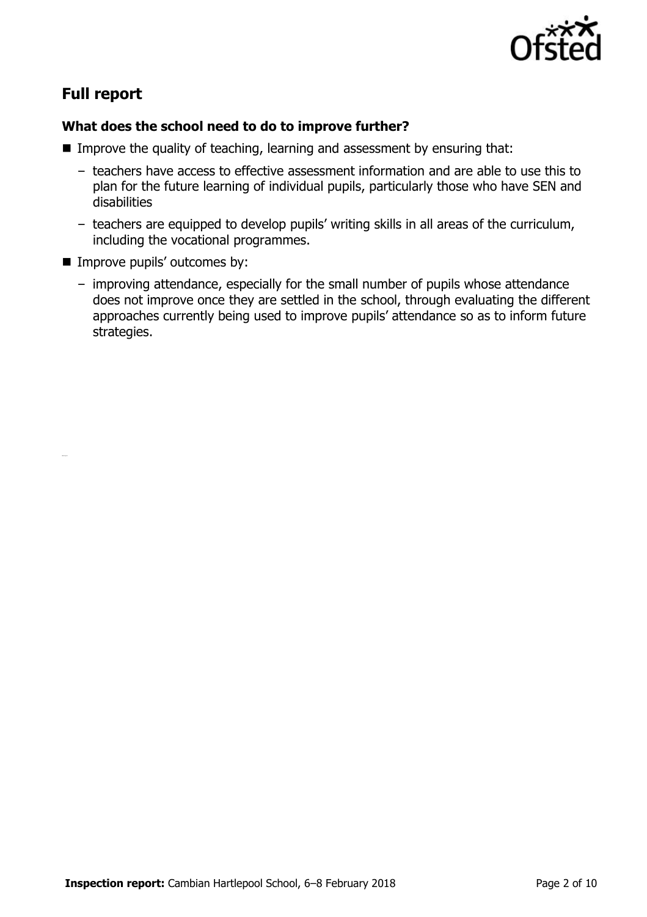

# **Full report**

#### **What does the school need to do to improve further?**

- Improve the quality of teaching, learning and assessment by ensuring that:
	- teachers have access to effective assessment information and are able to use this to plan for the future learning of individual pupils, particularly those who have SEN and disabilities
	- teachers are equipped to develop pupils' writing skills in all areas of the curriculum, including the vocational programmes.
- **Improve pupils' outcomes by:** 
	- improving attendance, especially for the small number of pupils whose attendance does not improve once they are settled in the school, through evaluating the different approaches currently being used to improve pupils' attendance so as to inform future strategies.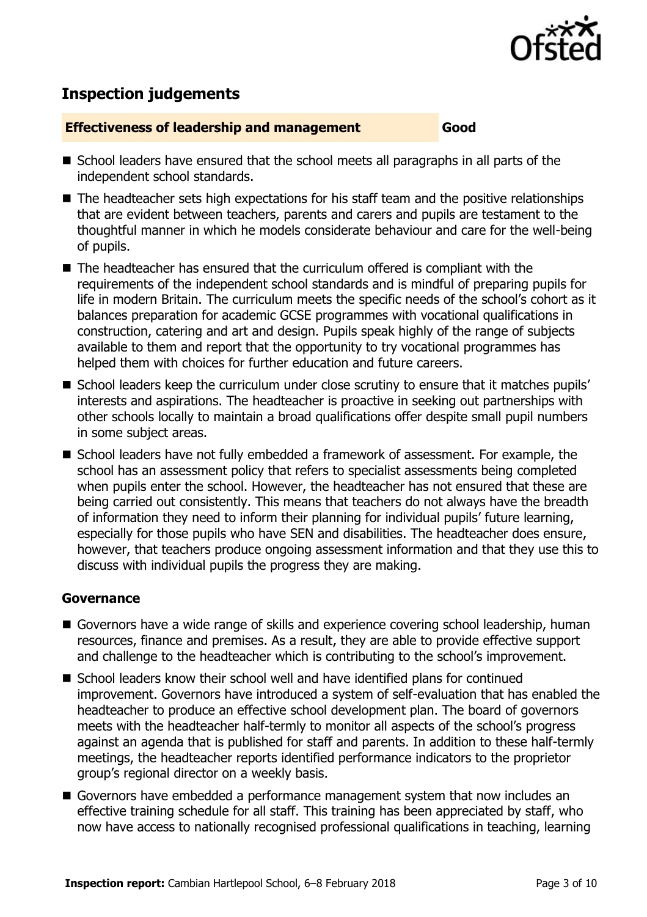

# **Inspection judgements**

#### **Effectiveness of leadership and management Good**

- School leaders have ensured that the school meets all paragraphs in all parts of the independent school standards.
- The headteacher sets high expectations for his staff team and the positive relationships that are evident between teachers, parents and carers and pupils are testament to the thoughtful manner in which he models considerate behaviour and care for the well-being of pupils.
- The headteacher has ensured that the curriculum offered is compliant with the requirements of the independent school standards and is mindful of preparing pupils for life in modern Britain. The curriculum meets the specific needs of the school's cohort as it balances preparation for academic GCSE programmes with vocational qualifications in construction, catering and art and design. Pupils speak highly of the range of subjects available to them and report that the opportunity to try vocational programmes has helped them with choices for further education and future careers.
- School leaders keep the curriculum under close scrutiny to ensure that it matches pupils' interests and aspirations. The headteacher is proactive in seeking out partnerships with other schools locally to maintain a broad qualifications offer despite small pupil numbers in some subject areas.
- School leaders have not fully embedded a framework of assessment. For example, the school has an assessment policy that refers to specialist assessments being completed when pupils enter the school. However, the headteacher has not ensured that these are being carried out consistently. This means that teachers do not always have the breadth of information they need to inform their planning for individual pupils' future learning, especially for those pupils who have SEN and disabilities. The headteacher does ensure, however, that teachers produce ongoing assessment information and that they use this to discuss with individual pupils the progress they are making.

#### **Governance**

- Governors have a wide range of skills and experience covering school leadership, human resources, finance and premises. As a result, they are able to provide effective support and challenge to the headteacher which is contributing to the school's improvement.
- $\blacksquare$  School leaders know their school well and have identified plans for continued improvement. Governors have introduced a system of self-evaluation that has enabled the headteacher to produce an effective school development plan. The board of governors meets with the headteacher half-termly to monitor all aspects of the school's progress against an agenda that is published for staff and parents. In addition to these half-termly meetings, the headteacher reports identified performance indicators to the proprietor group's regional director on a weekly basis.
- Governors have embedded a performance management system that now includes an effective training schedule for all staff. This training has been appreciated by staff, who now have access to nationally recognised professional qualifications in teaching, learning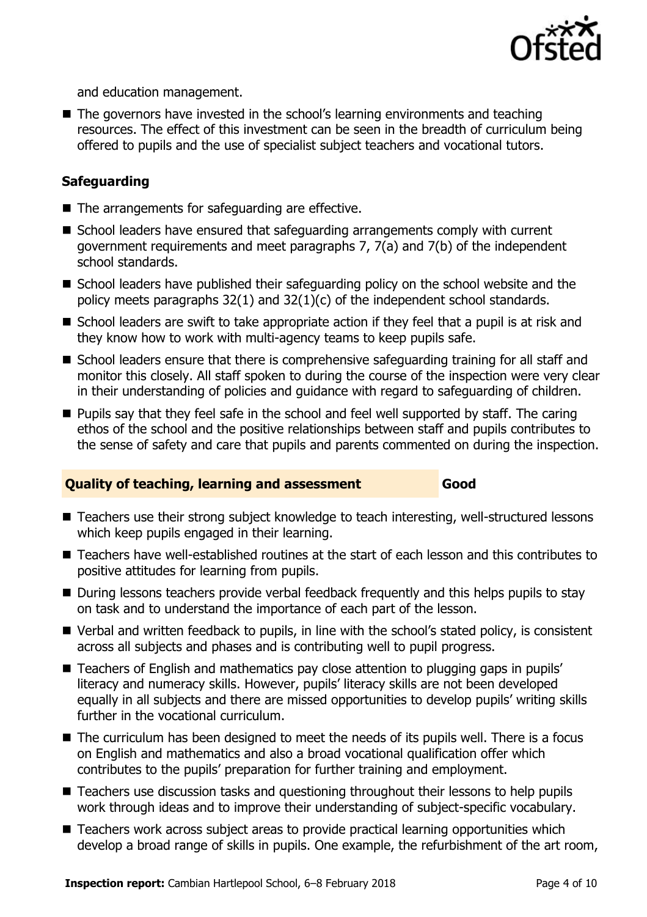

and education management.

■ The governors have invested in the school's learning environments and teaching resources. The effect of this investment can be seen in the breadth of curriculum being offered to pupils and the use of specialist subject teachers and vocational tutors.

### **Safeguarding**

- $\blacksquare$  The arrangements for safeguarding are effective.
- School leaders have ensured that safeguarding arrangements comply with current government requirements and meet paragraphs 7, 7(a) and 7(b) of the independent school standards.
- School leaders have published their safeguarding policy on the school website and the policy meets paragraphs 32(1) and 32(1)(c) of the independent school standards.
- $\blacksquare$  School leaders are swift to take appropriate action if they feel that a pupil is at risk and they know how to work with multi-agency teams to keep pupils safe.
- School leaders ensure that there is comprehensive safeguarding training for all staff and monitor this closely. All staff spoken to during the course of the inspection were very clear in their understanding of policies and guidance with regard to safeguarding of children.
- **Pupils say that they feel safe in the school and feel well supported by staff. The caring** ethos of the school and the positive relationships between staff and pupils contributes to the sense of safety and care that pupils and parents commented on during the inspection.

#### **Quality of teaching, learning and assessment Good**

- Teachers use their strong subject knowledge to teach interesting, well-structured lessons which keep pupils engaged in their learning.
- Teachers have well-established routines at the start of each lesson and this contributes to positive attitudes for learning from pupils.
- During lessons teachers provide verbal feedback frequently and this helps pupils to stay on task and to understand the importance of each part of the lesson.
- Verbal and written feedback to pupils, in line with the school's stated policy, is consistent across all subjects and phases and is contributing well to pupil progress.
- Teachers of English and mathematics pay close attention to plugging gaps in pupils' literacy and numeracy skills. However, pupils' literacy skills are not been developed equally in all subjects and there are missed opportunities to develop pupils' writing skills further in the vocational curriculum.
- The curriculum has been designed to meet the needs of its pupils well. There is a focus on English and mathematics and also a broad vocational qualification offer which contributes to the pupils' preparation for further training and employment.
- Teachers use discussion tasks and questioning throughout their lessons to help pupils work through ideas and to improve their understanding of subject-specific vocabulary.
- Teachers work across subject areas to provide practical learning opportunities which develop a broad range of skills in pupils. One example, the refurbishment of the art room,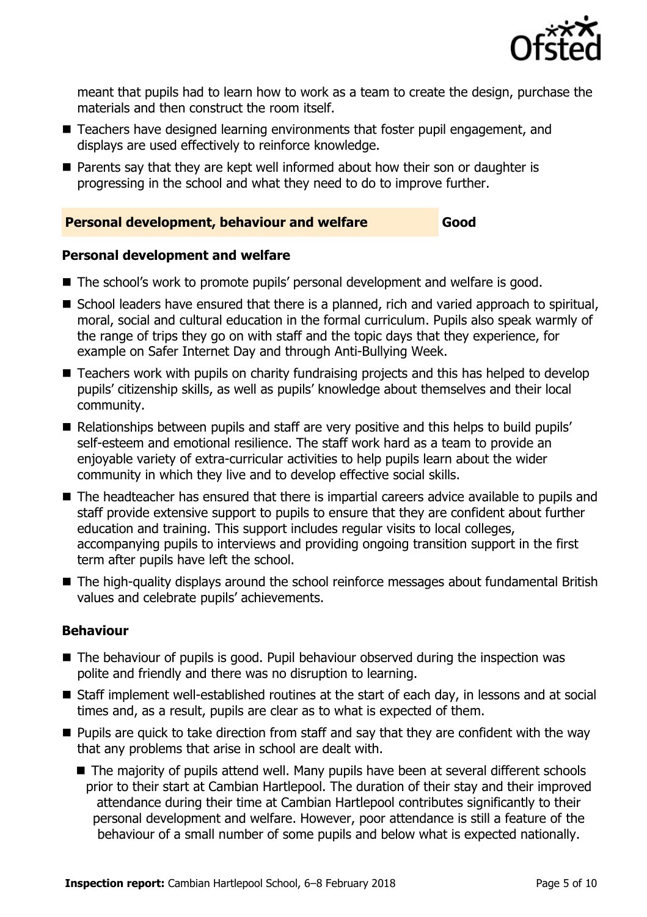

meant that pupils had to learn how to work as a team to create the design, purchase the materials and then construct the room itself.

- Teachers have designed learning environments that foster pupil engagement, and displays are used effectively to reinforce knowledge.
- **Parents say that they are kept well informed about how their son or daughter is** progressing in the school and what they need to do to improve further.

#### **Personal development, behaviour and welfare Good**

### **Personal development and welfare**

- The school's work to promote pupils' personal development and welfare is good.
- School leaders have ensured that there is a planned, rich and varied approach to spiritual, moral, social and cultural education in the formal curriculum. Pupils also speak warmly of the range of trips they go on with staff and the topic days that they experience, for example on Safer Internet Day and through Anti-Bullying Week.
- Teachers work with pupils on charity fundraising projects and this has helped to develop pupils' citizenship skills, as well as pupils' knowledge about themselves and their local community.
- Relationships between pupils and staff are very positive and this helps to build pupils' self-esteem and emotional resilience. The staff work hard as a team to provide an enjoyable variety of extra-curricular activities to help pupils learn about the wider community in which they live and to develop effective social skills.
- The headteacher has ensured that there is impartial careers advice available to pupils and staff provide extensive support to pupils to ensure that they are confident about further education and training. This support includes regular visits to local colleges, accompanying pupils to interviews and providing ongoing transition support in the first term after pupils have left the school.
- The high-quality displays around the school reinforce messages about fundamental British values and celebrate pupils' achievements.

#### **Behaviour**

- The behaviour of pupils is good. Pupil behaviour observed during the inspection was polite and friendly and there was no disruption to learning.
- Staff implement well-established routines at the start of each day, in lessons and at social times and, as a result, pupils are clear as to what is expected of them.
- **Pupils are quick to take direction from staff and say that they are confident with the way** that any problems that arise in school are dealt with.
	- The majority of pupils attend well. Many pupils have been at several different schools prior to their start at Cambian Hartlepool. The duration of their stay and their improved attendance during their time at Cambian Hartlepool contributes significantly to their personal development and welfare. However, poor attendance is still a feature of the behaviour of a small number of some pupils and below what is expected nationally.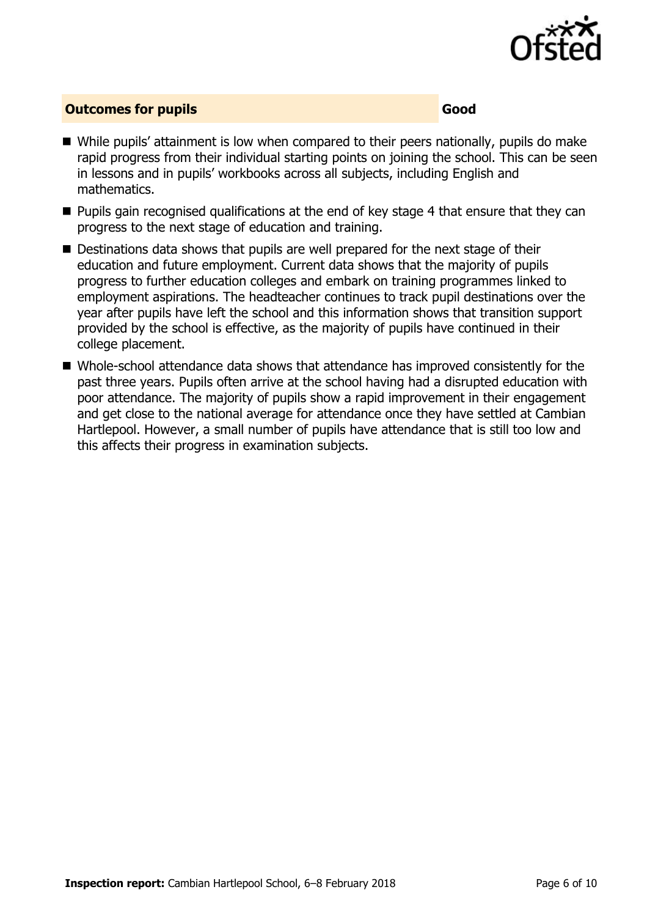

#### **Outcomes for pupils Good Good**

- While pupils' attainment is low when compared to their peers nationally, pupils do make rapid progress from their individual starting points on joining the school. This can be seen in lessons and in pupils' workbooks across all subjects, including English and mathematics.
- **Pupils gain recognised qualifications at the end of key stage 4 that ensure that they can** progress to the next stage of education and training.
- Destinations data shows that pupils are well prepared for the next stage of their education and future employment. Current data shows that the majority of pupils progress to further education colleges and embark on training programmes linked to employment aspirations. The headteacher continues to track pupil destinations over the year after pupils have left the school and this information shows that transition support provided by the school is effective, as the majority of pupils have continued in their college placement.
- Whole-school attendance data shows that attendance has improved consistently for the past three years. Pupils often arrive at the school having had a disrupted education with poor attendance. The majority of pupils show a rapid improvement in their engagement and get close to the national average for attendance once they have settled at Cambian Hartlepool. However, a small number of pupils have attendance that is still too low and this affects their progress in examination subjects.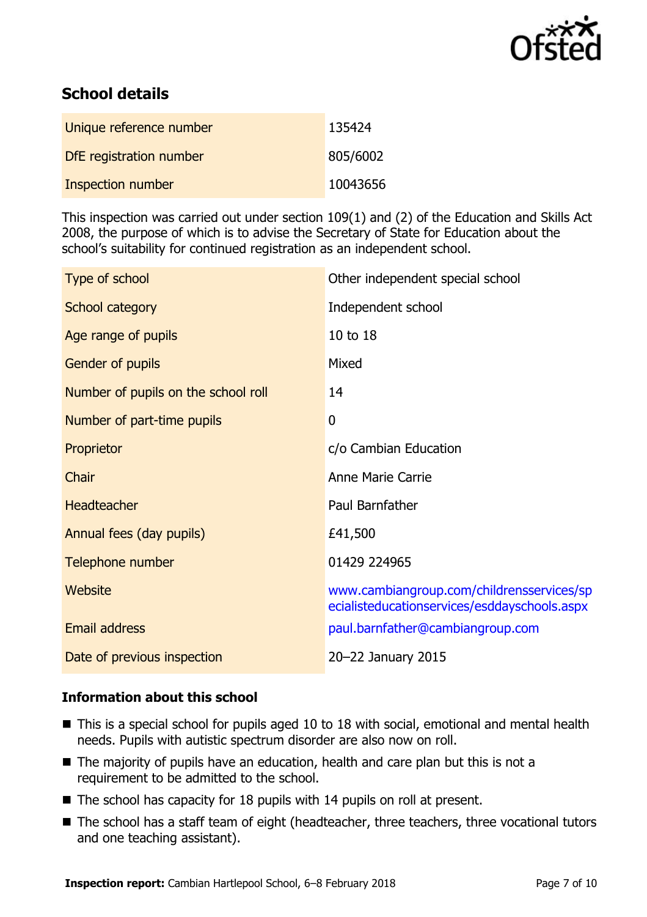

# **School details**

| Unique reference number | 135424   |
|-------------------------|----------|
| DfE registration number | 805/6002 |
| Inspection number       | 10043656 |

This inspection was carried out under section 109(1) and (2) of the Education and Skills Act 2008, the purpose of which is to advise the Secretary of State for Education about the school's suitability for continued registration as an independent school.

| Type of school                      | Other independent special school                                                          |
|-------------------------------------|-------------------------------------------------------------------------------------------|
| School category                     | Independent school                                                                        |
| Age range of pupils                 | 10 to 18                                                                                  |
| Gender of pupils                    | Mixed                                                                                     |
| Number of pupils on the school roll | 14                                                                                        |
| Number of part-time pupils          | $\mathbf 0$                                                                               |
| Proprietor                          | c/o Cambian Education                                                                     |
| Chair                               | Anne Marie Carrie                                                                         |
| <b>Headteacher</b>                  | Paul Barnfather                                                                           |
| Annual fees (day pupils)            | £41,500                                                                                   |
| Telephone number                    | 01429 224965                                                                              |
| Website                             | www.cambiangroup.com/childrensservices/sp<br>ecialisteducationservices/esddayschools.aspx |
| <b>Email address</b>                | paul.barnfather@cambiangroup.com                                                          |
| Date of previous inspection         | 20-22 January 2015                                                                        |

#### **Information about this school**

- This is a special school for pupils aged 10 to 18 with social, emotional and mental health needs. Pupils with autistic spectrum disorder are also now on roll.
- The majority of pupils have an education, health and care plan but this is not a requirement to be admitted to the school.
- The school has capacity for 18 pupils with 14 pupils on roll at present.
- The school has a staff team of eight (headteacher, three teachers, three vocational tutors and one teaching assistant).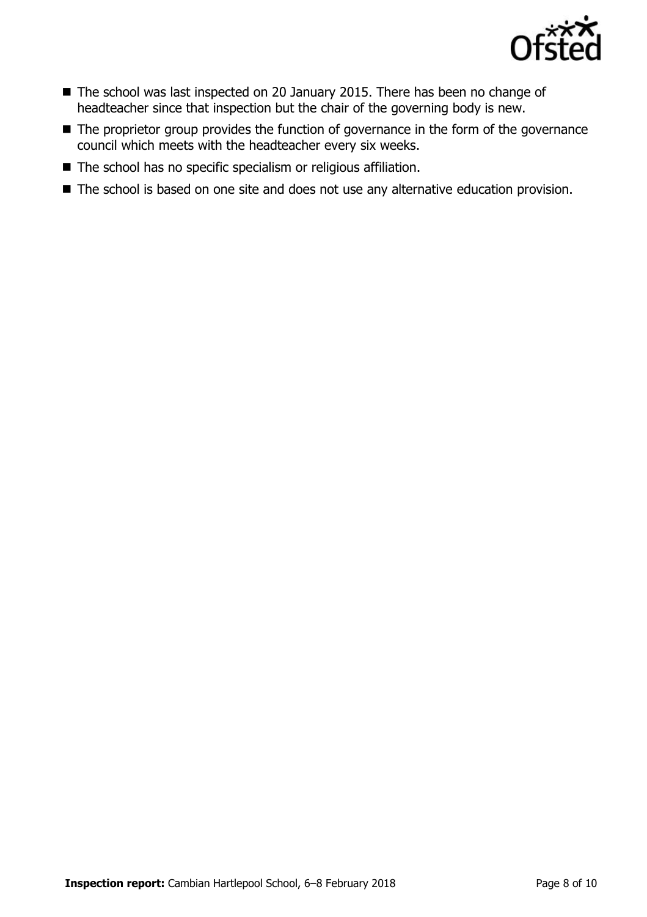

- The school was last inspected on 20 January 2015. There has been no change of headteacher since that inspection but the chair of the governing body is new.
- The proprietor group provides the function of governance in the form of the governance council which meets with the headteacher every six weeks.
- The school has no specific specialism or religious affiliation.
- The school is based on one site and does not use any alternative education provision.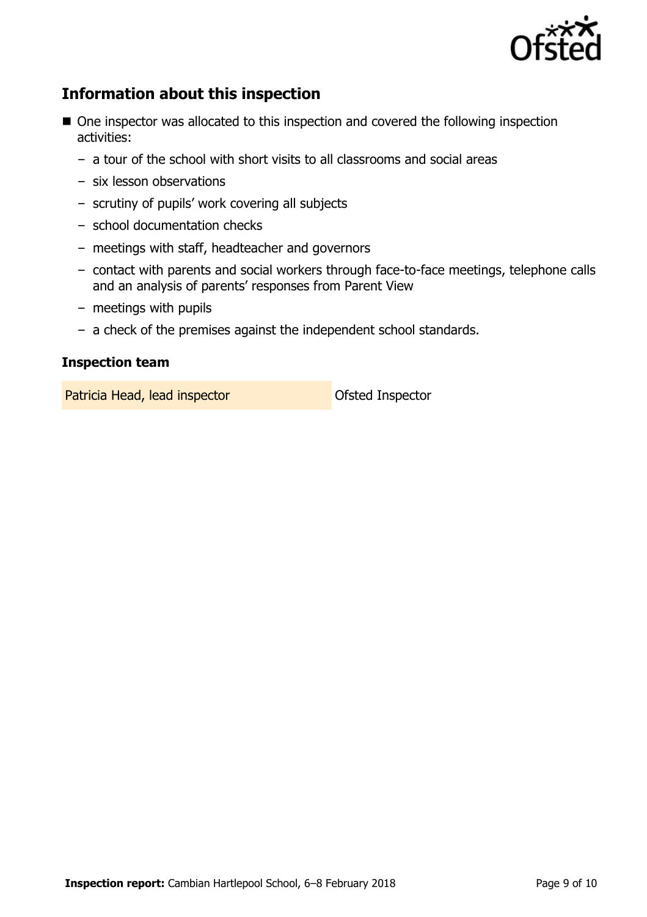

# **Information about this inspection**

- One inspector was allocated to this inspection and covered the following inspection activities:
	- a tour of the school with short visits to all classrooms and social areas
	- six lesson observations
	- scrutiny of pupils' work covering all subjects
	- school documentation checks
	- meetings with staff, headteacher and governors
	- contact with parents and social workers through face-to-face meetings, telephone calls and an analysis of parents' responses from Parent View
	- meetings with pupils
	- a check of the premises against the independent school standards.

#### **Inspection team**

Patricia Head, lead inspector **Calculate Control** Ofsted Inspector